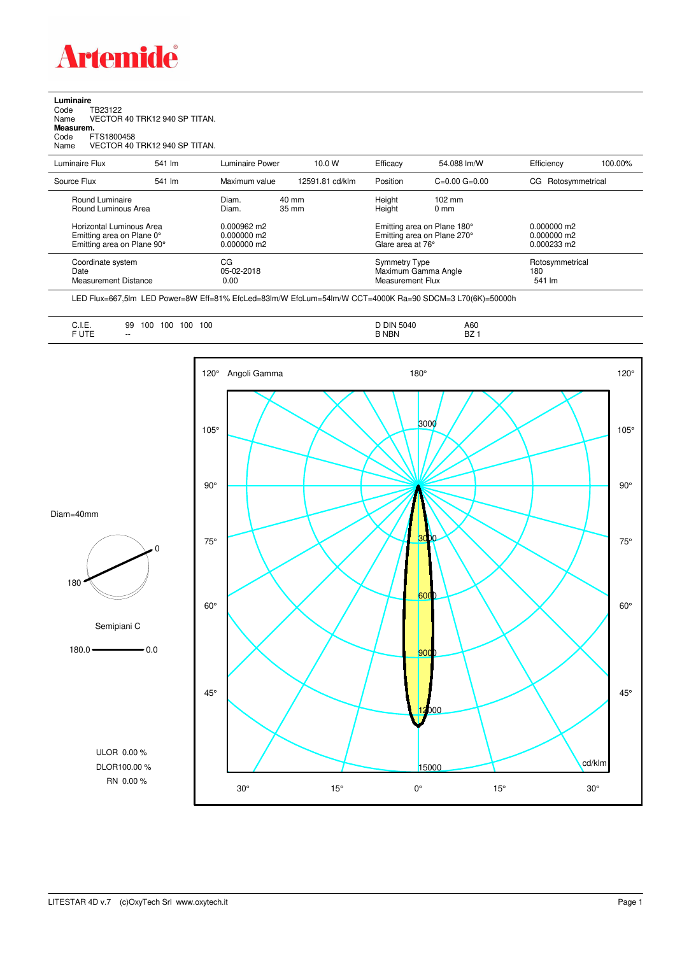

## **Luminaire**<br>Code T<br>Name \ Code TB23122 Name VECTOR 40 TRK12 940 SP TITAN. **Measurem.** Code FTS1800458 Name VECTOR 40 TRK12 940 SP TITAN.

| Luminaire Flux                                                     | 541 lm | Luminaire Power                            | 10.0 W                   | Efficacy | 54.088 lm/W                                                                           | Efficiency            | 100.00%         |
|--------------------------------------------------------------------|--------|--------------------------------------------|--------------------------|----------|---------------------------------------------------------------------------------------|-----------------------|-----------------|
| Source Flux                                                        | 541 lm | Maximum value                              | 12591.81 cd/klm          | Position | $C=0.00$ $G=0.00$                                                                     | Rotosymmetrical<br>CG |                 |
| Round Luminaire<br>Round Luminous Area<br>Horizontal Luminous Area |        | Diam.<br>Diam.<br>$0.000962 \text{ m}$     | 40 mm<br>$35 \text{ mm}$ |          | Height<br>$102 \text{ mm}$<br>Height<br>$0 \text{ mm}$<br>Emitting area on Plane 180° |                       |                 |
| Emitting area on Plane 0°<br>Emitting area on Plane 90°            |        | $0.000000$ m <sup>2</sup><br>$0.000000$ m2 |                          |          | Emitting area on Plane 270°<br>Glare area at 76°                                      |                       |                 |
| Coordinate system<br>Date<br>Measurement Distance                  |        | CG<br>05-02-2018<br>0.00                   |                          |          | <b>Symmetry Type</b><br>Maximum Gamma Angle<br>Measurement Flux                       |                       | Rotosymmetrical |

LED Flux=667,5lm LED Power=8W Eff=81% EfcLed=83lm/W EfcLum=54lm/W CCT=4000K Ra=90 SDCM=3 L70(6K)=50000h